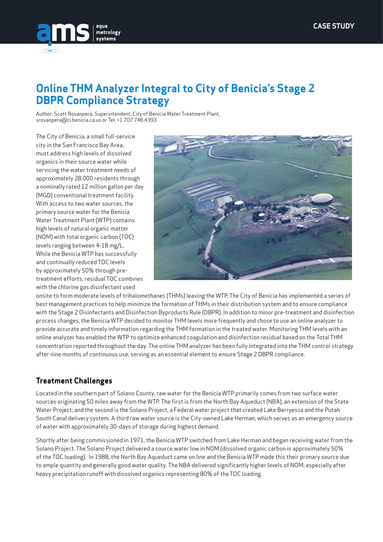

# **Online THM Analyzer Integral to City of Benicia's Stage 2 DBPR Compliance Strategy**

Author: Scott Rovanpera, Superintendent, City of Benicia Water Treatment Plant, srovanpera@ci.benicia.ca.us or Tel: +1 707 746 4393

The City of Benicia, a small full-service city in the San Francisco Bay Area, must address high levels of dissolved organics in their source water while servicing the water treatment needs of approximately 28,000 residents through a nominally rated 12 million gallon per day (MGD) conventional treatment facility. With access to two water sources, the primary source water for the Benicia Water Treatment Plant (WTP) contains high levels of natural organic matter (NOM) with total organic carbon (TOC) levels ranging between 4-18 mg/L. While the Benicia WTP has successfully and continually reduced TOC levels by approximately 50% through pretreatment efforts, residual TOC combines with the chlorine gas disinfectant used



onsite to form moderate levels of trihalomethanes (THMs) leaving the WTP. The City of Benicia has implemented a series of best management practices to help minimize the formation of THMs in their distribution system and to ensure compliance with the Stage 2 Disinfectants and Disinfection Byproducts Rule (DBPR). In addition to minor pre-treatment and disinfection process changes, the Benicia WTP decided to monitor THM levels more frequently and chose to use an online analyzer to provide accurate and timely information regarding the THM formation in the treated water. Monitoring THM levels with an online analyzer has enabled the WTP to optimize enhanced coagulation and disinfection residual based on the Total THM concentration reported throughout the day. The online THM analyzer has been fully integrated into the THM control strategy after nine months of continuous use; serving as an essential element to ensure Stage 2 DBPR compliance.

## **Treatment Challenges**

Located in the southern part of Solano County, raw water for the Benicia WTP primarily comes from two surface water sources originating 50 miles away from the WTP. The first is from the North Bay Aqueduct (NBA), an extension of the State Water Project; and the second is the Solano Project, a Federal water project that created Lake Berryessa and the Putah South Canal delivery system. A third raw water source is the City-owned Lake Herman, which serves as an emergency source of water with approximately 30-days of storage during highest demand.

Shortly after being commissioned in 1971, the Benicia WTP switched from Lake Herman and began receiving water from the Solano Project. The Solano Project delivered a source water low in NOM (dissolved organic carbon is approximately 50% of the TOC loading). In 1988, the North Bay Aqueduct came on line and the Benicia WTP made this their primary source due to ample quantity and generally good water quality. The NBA delivered significantly higher levels of NOM, especially after heavy precipitation runoff with dissolved organics representing 80% of the TOC loading.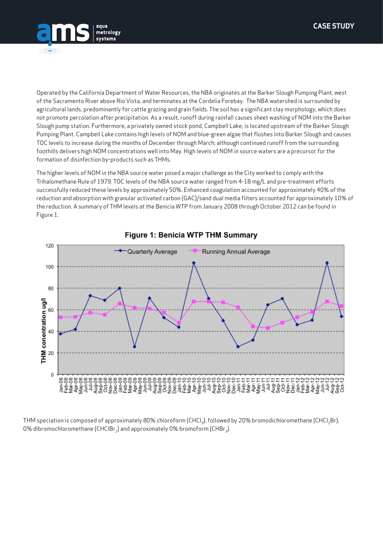



Operated by the California Department of Water Resources, the NBA originates at the Barker Slough Pumping Plant, west of the Sacramento River above Rio Vista, and terminates at the Cordelia Forebay. The NBA watershed is surrounded by agricultural lands, predominantly for cattle grazing and grain fields. The soil has a significant clay morphology, which does not promote percolation after precipitation. As a result, runoff during rainfall causes sheet washing of NOM into the Barker Slough pump station. Furthermore, a privately owned stock pond, Campbell Lake, is located upstream of the Barker Slough Pumping Plant. Campbell Lake contains high levels of NOM and blue-green algae that flushes into Barker Slough and causes TOC levels to increase during the months of December through March; although continued runoff from the surrounding foothills delivers high NOM concentrations well into May. High levels of NOM in source waters are a precursor for the formation of disinfection by-products such as THMs.

The higher levels of NOM in the NBA source water posed a major challenge as the City worked to comply with the Trihalomethane Rule of 1979. TOC levels of the NBA source water ranged from 4-18 mg/L and pre-treatment efforts successfully reduced these levels by approximately 50%. Enhanced coagulation accounted for approximately 40% of the reduction and absorption with granular activated carbon (GAC)/sand dual media filters accounted for approximately 10% of the reduction. A summary of THM levels at the Benicia WTP from January 2008 through October 2012 can be found in Figure 1.



### Figure 1: Benicia WTP THM Summary

THM speciation is composed of approximately 80% chloroform (CHCl<sub>3</sub>), followed by 20% bromodichloromethane (CHCl<sub>3</sub>Br), 0% dibromochloromethane (CHClBr<sub>2</sub>) and approximately 0% bromoform (CHBr<sub>2</sub>).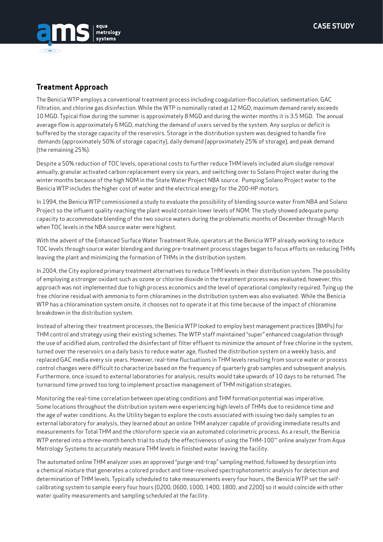

#### **Treatment Approach**

The Benicia WTP employs a conventional treatment process including coagulation-flocculation, sedimentation, GAC filtration, and chlorine gas disinfection. While the WTP is nominally rated at 12 MGD, maximum demand rarely exceeds 10 MGD. Typical flow during the summer is approximately 8 MGD and during the winter months it is 3.5 MGD. The annual average flow is approximately 6 MGD, matching the demand of users served by the system. Any surplus or deficit is buffered by the storage capacity of the reservoirs. Storage in the distribution system was designed to handle fire demands (approximately 50% of storage capacity), daily demand (approximately 25% of storage), and peak demand (the remaining 25%).

Despite a 50% reduction of TOC levels, operational costs to further reduce THM levels included alum sludge removal annually, granular activated carbon replacement every six years, and switching over to Solano Project water during the winter months because of the high NOM in the State Water Project NBA source. Pumping Solano Project water to the Benicia WTP includes the higher cost of water and the electrical energy for the 200-HP motors.

In 1994, the Benicia WTP commissioned a study to evaluate the possibility of blending source water from NBA and Solano Project so the influent quality reaching the plant would contain lower levels of NOM. The study showed adequate pump capacity to accommodate blending of the two source waters during the problematic months of December through March when TOC levels in the NBA source water were highest.

With the advent of the Enhanced Surface Water Treatment Rule, operators at the Benicia WTP already working to reduce TOC levels through source water blending and during pre-treatment process stages began to focus efforts on reducing THMs leaving the plant and minimizing the formation of THMs in the distribution system.

In 2004, the City explored primary treatment alternatives to reduce THM levels in their distribution system. The possibility of employing a stronger oxidant such as ozone or chlorine dioxide in the treatment process was evaluated; however, this approach was not implemented due to high process economics and the level of operational complexity required. Tying up the free chlorine residual with ammonia to form chloramines in the distribution system was also evaluated. While the Benicia WTP has a chloramination system onsite, it chooses not to operate it at this time because of the impact of chloramine breakdown in the distribution system.

Instead of altering their treatment processes, the Benicia WTP looked to employ best management practices (BMPs) for THM control and strategy using their existing schemes. The WTP staff maintained "super" enhanced coagulation through the use of acidified alum, controlled the disinfectant of filter effluent to minimize the amount of free chlorine in the system, turned over the reservoirs on a daily basis to reduce water age, flushed the distribution system on a weekly basis, and replaced GAC media every six years. However, real-time fluctuations in THM levels resulting from source water or process control changes were difficult to characterize based on the frequency of quarterly grab samples and subsequent analysis. Furthermore, once issued to external laboratories for analysis, results would take upwards of 10 days to be returned. The turnaround time proved too long to implement proactive management of THM mitigation strategies.

Monitoring the real-time correlation between operating conditions and THM formation potential was imperative. Some locations throughout the distribution system were experiencing high levels of THMs due to residence time and the age of water conditions. As the Utility began to explore the costs associated with issuing two daily samples to an external laboratory for analysis, they learned about an online THM analyzer capable of providing immediate results and measurements for Total THM and the chloroform specie via an automated colorimetric process. As a result, the Benicia WTP entered into a three-month bench trial to study the effectiveness of using the THM-100™ online analyzer from Aqua Metrology Systems to accurately measure THM levels in finished water leaving the facility.

The automated online THM analyzer uses an approved "purge-and-trap" sampling method, followed by desorption into a chemical mixture that generates a colored product and time-resolved spectrophotometric analysis for detection and determination of THM levels. Typically scheduled to take measurements every four hours, the Benicia WTP set the selfcalibrating system to sample every four hours (0200, 0600, 1000, 1400, 1800, and 2200) so it would coincide with other water quality measurements and sampling scheduled at the facility.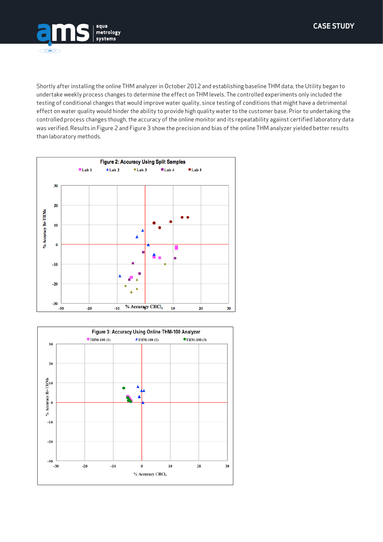



Shortly after installing the online THM analyzer in October 2012 and establishing baseline THM data, the Utility began to undertake weekly process changes to determine the effect on THM levels. The controlled experiments only included the testing of conditional changes that would improve water quality, since testing of conditions that might have a detrimental effect on water quality would hinder the ability to provide high quality water to the customer base. Prior to undertaking the controlled process changes though, the accuracy of the online monitor and its repeatability against certified laboratory data was verified. Results in Figure 2 and Figure 3 show the precision and bias of the online THM analyzer yielded better results than laboratory methods.



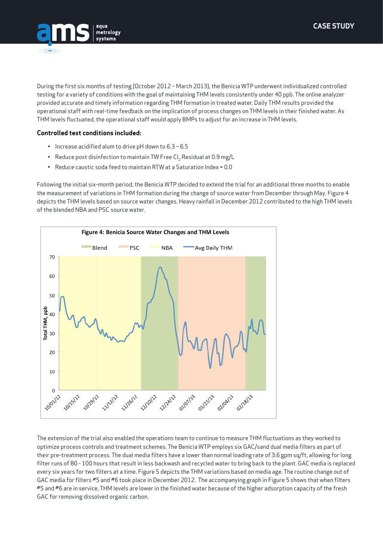

During the first six months of testing (October 2012 – March 2013), the Benicia WTP underwent individualized controlled testing for a variety of conditions with the goal of maintaining THM levels consistently under 40 ppb. The online analyzer provided accurate and timely information regarding THM formation in treated water. Daily THM results provided the operational staff with real-time feedback on the implication of process changes on THM levels in their finished water. As THM levels fluctuated, the operational staff would apply BMPs to adjust for an increase in THM levels.

#### **Controlled test conditions included:**

- Increase acidified alum to drive pH down to 6.3 6.5
- Reduce post disinfection to maintain TW Free Cl<sub>2</sub> Residual at 0.9 mg/L
- Reduce caustic soda feed to maintain RTW at a Saturation Index = 0.0

Following the initial six-month period, the Benicia WTP decided to extend the trial for an additional three months to enable the measurement of variations in THM formation during the change of source water from December through May. Figure 4 depicts the THM levels based on source water changes. Heavy rainfall in December 2012 contributed to the high THM levels of the blended NBA and PSC source water.



The extension of the trial also enabled the operations team to continue to measure THM fluctuations as they worked to optimize process controls and treatment schemes. The Benicia WTP employs six GAC/sand dual media filters as part of their pre-treatment process. The dual media filters have a lower than normal loading rate of 3.6 gpm sq/ft, allowing for long filter runs of 80 - 100 hours that result in less backwash and recycled water to bring back to the plant. GAC media is replaced every six years for two filters at a time. Figure 5 depicts the THM variations based on media age. The routine change out of GAC media for filters #5 and #6 took place in December 2012. The accompanying graph in Figure 5 shows that when filters #5 and #6 are in service, THM levels are lower in the finished water because of the higher adsorption capacity of the fresh GAC for removing dissolved organic carbon.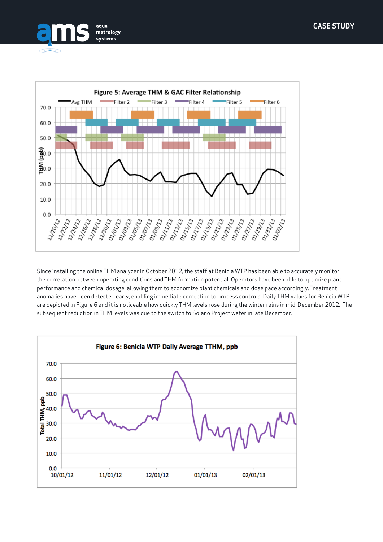



Since installing the online THM analyzer in October 2012, the staff at Benicia WTP has been able to accurately monitor the correlation between operating conditions and THM formation potential. Operators have been able to optimize plant performance and chemical dosage, allowing them to economize plant chemicals and dose pace accordingly. Treatment anomalies have been detected early, enabling immediate correction to process controls. Daily THM values for Benicia WTP are depicted in Figure 6 and it is noticeable how quickly THM levels rose during the winter rains in mid-December 2012. The subsequent reduction in THM levels was due to the switch to Solano Project water in late December.